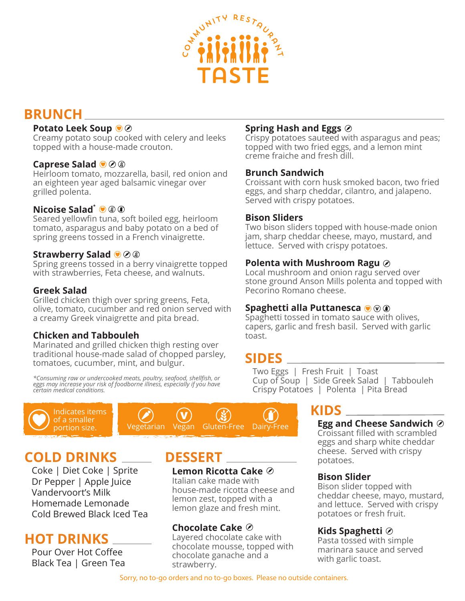

# **BRUNCH**

# **Potato Leek Soup**

Creamy potato soup cooked with celery and leeks topped with a house-made crouton.

## **Caprese Salad**

Heirloom tomato, mozzarella, basil, red onion and an eighteen year aged balsamic vinegar over grilled polenta.

# **Nicoise Salad\***

Seared yellowfin tuna, soft boiled egg, heirloom tomato, asparagus and baby potato on a bed of spring greens tossed in a French vinaigrette.

## **Strawberry Salad**

Spring greens tossed in a berry vinaigrette topped with strawberries, Feta cheese, and walnuts.

## **Greek Salad**

Grilled chicken thigh over spring greens, Feta, olive, tomato, cucumber and red onion served with a creamy Greek vinaigrette and pita bread.

# **Chicken and Tabbouleh**

Marinated and grilled chicken thigh resting over traditional house-made salad of chopped parsley, tomatoes, cucumber, mint, and bulgur.

*\*Consuming raw or undercooked meats, poultry, seafood, shellfish, or eggs may increase your risk of foodborne illness, especially if you have certain medical conditions.* 





# **COLD DRINKS**

Coke | Diet Coke | Sprite Dr Pepper | Apple Juice Vandervoort's Milk Homemade Lemonade Cold Brewed Black Iced Tea

# **HOT DRINKS**

Pour Over Hot Coffee Black Tea | Green Tea

# **DESSERT**

# **Lemon Ricotta Cake**

Italian cake made with house-made ricotta cheese and lemon zest, topped with a lemon glaze and fresh mint.

# **Chocolate Cake**

Layered chocolate cake with chocolate mousse, topped with chocolate ganache and a strawberry.

# **Spring Hash and Eggs**

Crispy potatoes sauteed with asparagus and peas; topped with two fried eggs, and a lemon mint creme fraiche and fresh dill.

#### **Brunch Sandwich**

Croissant with corn husk smoked bacon, two fried eggs, and sharp cheddar, cilantro, and jalapeno. Served with crispy potatoes.

## **Bison Sliders**

Two bison sliders topped with house-made onion jam, sharp cheddar cheese, mayo, mustard, and lettuce. Served with crispy potatoes.

## **Polenta with Mushroom Ragu**

Local mushroom and onion ragu served over stone ground Anson Mills polenta and topped with Pecorino Romano cheese.

#### **Spaghetti alla Puttanesca**

Spaghetti tossed in tomato sauce with olives, capers, garlic and fresh basil. Served with garlic toast.

# **SIDES**

Two Eggs | Fresh Fruit | Toast Cup of Soup | Side Greek Salad | Tabbouleh Crispy Potatoes | Polenta | Pita Bread

# **KIDS**

# **Egg and Cheese Sandwich**

Croissant filled with scrambled eggs and sharp white cheddar cheese. Served with crispy potatoes.

# **Bison Slider**

Bison slider topped with cheddar cheese, mayo, mustard, and lettuce. Served with crispy potatoes or fresh fruit.

# **Kids Spaghetti**

Pasta tossed with simple marinara sauce and served with garlic toast.

Sorry, no to-go orders and no to-go boxes. Please no outside containers.